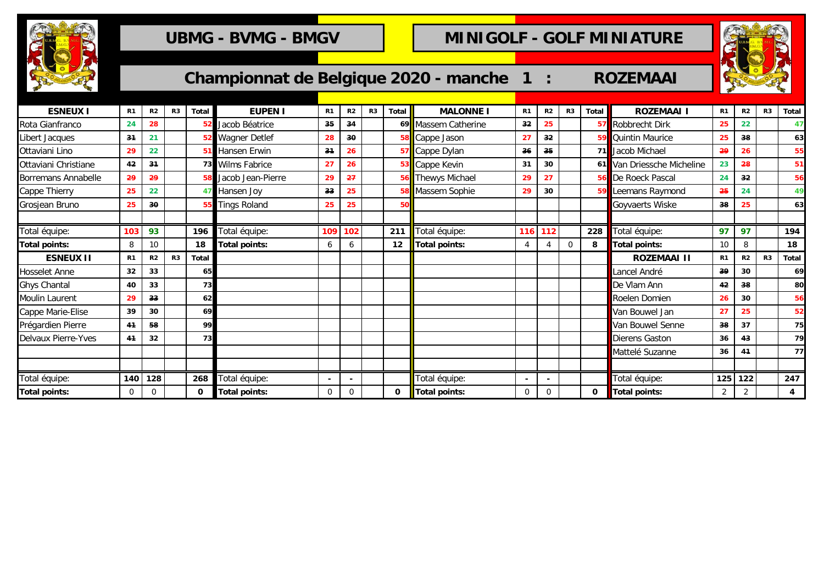

# **UBMG - BVMG - BMGV COLL MINIGOLF - GOLF MINIATURE**



| Championnat de Belgique 2020 - manche 1 |  |  |  |
|-----------------------------------------|--|--|--|
|-----------------------------------------|--|--|--|

| <b>ESNEUX I</b>      | R <sub>1</sub> | R <sub>2</sub> | R <sub>3</sub> | <b>Total</b> | <b>EUPEN I</b>       | R <sub>1</sub> | R <sub>2</sub> | R <sub>3</sub> | <b>Total</b> | <b>MALONNE I</b>       | R <sub>1</sub> | R <sub>2</sub> | R <sub>3</sub> | <b>Total</b> | <b>ROZEMAAI</b>            | R <sub>1</sub> | R <sub>2</sub> | R <sub>3</sub> | Total |
|----------------------|----------------|----------------|----------------|--------------|----------------------|----------------|----------------|----------------|--------------|------------------------|----------------|----------------|----------------|--------------|----------------------------|----------------|----------------|----------------|-------|
| Rota Gianfranco      | 24             | 28             |                | -52          | Jacob Béatrice       | 35             | 34             |                |              | 69 Massem Catherine    | 32             | 25             |                |              | 57 Robbrecht Dirk          | 25             | 22             |                | 47    |
| Libert Jacques       | 31             | 21             |                |              | <b>Wagner Detlef</b> | 28             | 30             |                |              | 58 Cappe Jason         | 27             | 32             |                |              | <b>59 Quintin Maurice</b>  | 25             | 38             |                | 63    |
| Ottaviani Lino       | 29             | 22             |                |              | Hansen Erwin         | 31             | 26             |                |              | 57 Cappe Dylan         | 36             | 35             |                |              | 71 Jacob Michael           | 29             | 26             |                | 55    |
| Ottaviani Christiane | 42             | 34             |                | 73           | <b>Wilms Fabrice</b> | 27             | 26             |                |              | <b>B</b> Cappe Kevin   | 31             | 30             |                |              | 61 Van Driessche Micheline | 23             | 28             |                | 51    |
| Borremans Annabelle  | 29             | 29             |                |              | Jacob Jean-Pierre    | 29             | 27             |                | 56           | <b>Thewys Michael</b>  | 29             | 27             |                |              | <b>56</b> De Roeck Pascal  | 24             | 32             |                | 56    |
| Cappe Thierry        | 25             | 22             |                |              | Hansen Joy           | 33             | 25             |                | 58           | <b>B</b> Massem Sophie | 29             | 30             |                |              | 59 Leemans Raymond         | 25             | 24             |                | 49    |
| Grosjean Bruno       | 25             | 30             |                |              | <b>Tings Roland</b>  | 25             | 25             |                | 50           |                        |                |                |                |              | <b>Goyvaerts Wiske</b>     | 38             | 25             |                | 63    |
|                      |                |                |                |              |                      |                |                |                |              |                        |                |                |                |              |                            |                |                |                |       |
| Total équipe:        | 103            | 93             |                | 196          | Total équipe:        | 109            | 102            |                | 211          | Total équipe:          | 116            | 112            |                | 228          | Total équipe:              | 97             | 97             |                | 194   |
| Total points:        | 8              | 10             |                | 18           | Total points:        | 6              | 6              |                | 12           | <b>Total points:</b>   | $\overline{4}$ |                | 0              | 8            | <b>Total points:</b>       | 10             | 8              |                | 18    |
| <b>ESNEUX II</b>     | R <sub>1</sub> | R2             | R <sub>3</sub> | <b>Total</b> |                      |                |                |                |              |                        |                |                |                |              | <b>ROZEMAAI II</b>         | R <sub>1</sub> | R2             | R <sub>3</sub> | Total |
| Hosselet Anne        | 32             | 33             |                | 65           |                      |                |                |                |              |                        |                |                |                |              | Lancel André               | 39             | 30             |                | 69    |
| Ghys Chantal         | 40             | 33             |                | 73           |                      |                |                |                |              |                        |                |                |                |              | De Vlam Ann                | 42             | 38             |                | 80    |
| Moulin Laurent       | 29             | 33             |                | 62           |                      |                |                |                |              |                        |                |                |                |              | Roelen Domien              | 26             | 30             |                | 56    |
| Cappe Marie-Elise    | 39             | 30             |                | 69           |                      |                |                |                |              |                        |                |                |                |              | Van Bouwel Jan             | 27             | 25             |                | 52    |
| Prégardien Pierre    | 41             | 58             |                | 99           |                      |                |                |                |              |                        |                |                |                |              | Van Bouwel Senne           | 38             | 37             |                | 75    |
| Delvaux Pierre-Yves  | 4 <sup>4</sup> | 32             |                | 73           |                      |                |                |                |              |                        |                |                |                |              | Dierens Gaston             | 36             | 43             |                | 79    |
|                      |                |                |                |              |                      |                |                |                |              |                        |                |                |                |              | Mattelé Suzanne            | 36             | 41             |                | 77    |
|                      |                |                |                |              |                      |                |                |                |              |                        |                |                |                |              |                            |                |                |                |       |
| Total équipe:        | 140            | 128            |                | 268          | Total équipe:        |                |                |                |              | Total équipe:          |                |                |                |              | Total équipe:              | 125            | 122            |                | 247   |
| Total points:        | 0              | 0              |                | 0            | <b>Total points:</b> | 0              | 0              |                | 0            | <b>Total points:</b>   | 0              | 0              |                | 0            | Total points:              | $\overline{2}$ | 2              |                | 4     |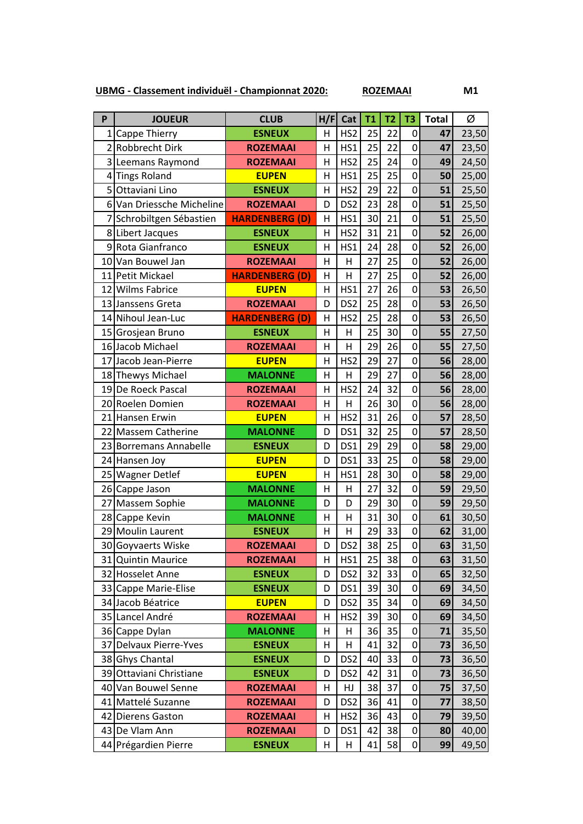**UBMG - Classement individuël - Championnat 2020: ROZEMAAI M1**

**P JOUEUR CLUB H/F Cat T1 T2 T3 Total** Ø 1 Cappe Thierry **ESNEUX** | H | HS2 | 25 | 22 | 0 | **47** | 23,50 2 Robbrecht Dirk **ROZEMAAI** H HS1 25 22 0 47 23,50 Leemans Raymond **ROZEMAAI** H HS2 25 24 0 **49** 24,50 Tings Roland **EUPEN** H HS1 25 25 0 **50** 25,00 Ottaviani Lino **ESNEUX** H HS2 29 22 0 **51** 25,50 Van Driessche Micheline **ROZEMAAI** D DS2 23 28 0 **51** 25,50 Schrobiltgen Sébastien **HARDENBERG (D)** H HS1 30 21 0 **51** 25,50 Libert Jacques **ESNEUX** H HS2 31 21 0 **52** 26,00 Rota Gianfranco **ESNEUX** H HS1 24 28 0 **52** 26,00 Van Bouwel Jan **ROZEMAAI** H H 27 25 0 **52** 26,00 Petit Mickael **HARDENBERG (D)** H H 27 25 0 **52** 26,00 12 Wilms Fabrice **EUPEN** H HS1 27 26 0 53 26,50 Janssens Greta **ROZEMAAI** D DS2 25 28 0 **53** 26,50 Nihoul Jean-Luc **HARDENBERG (D)** H HS2 25 28 0 **53** 26,50 Grosjean Bruno **ESNEUX** H H 25 30 0 **55** 27,50 Jacob Michael **ROZEMAAI** H H 29 26 0 **55** 27,50 Jacob Jean-Pierre **EUPEN** H HS2 29 27 0 **56** 28,00 Thewys Michael **MALONNE** H H 29 27 0 **56** 28,00 De Roeck Pascal **ROZEMAAI** H HS2 24 32 0 **56** 28,00 Roelen Domien **ROZEMAAI** H H 26 30 0 **56** 28,00 Hansen Erwin **EUPEN** H HS2 31 26 0 **57** 28,50 Massem Catherine **MALONNE** D DS1 32 25 0 **57** 28,50 Borremans Annabelle **ESNEUX** D DS1 29 29 0 **58** 29,00 Hansen Joy **EUPEN** D DS1 33 25 0 **58** 29,00 Wagner Detlef **EUPEN** H HS1 28 30 0 **58** 29,00 Cappe Jason **MALONNE** H H 27 32 0 **59** 29,50 Massem Sophie **MALONNE** D D 29 30 0 **59** 29,50 Cappe Kevin **MALONNE** H H 31 30 0 **61** 30,50 Moulin Laurent **ESNEUX** H H 29 33 0 **62** 31,00 Goyvaerts Wiske **ROZEMAAI** D DS2 38 25 0 **63** 31,50 Quintin Maurice **ROZEMAAI** H HS1 25 38 0 **63** 31,50 Hosselet Anne **ESNEUX** D DS2 32 33 0 **65** 32,50 Cappe Marie-Elise **ESNEUX** D DS1 39 30 0 **69** 34,50 Jacob Béatrice **EUPEN** D DS2 35 34 0 **69** 34,50 Lancel André **ROZEMAAI** H HS2 39 30 0 **69** 34,50 Cappe Dylan **MALONNE** H H 36 35 0 **71** 35,50 Delvaux Pierre-Yves **ESNEUX** H H 41 32 0 **73** 36,50 Ghys Chantal **ESNEUX** D DS2 40 33 0 **73** 36,50 Ottaviani Christiane **ESNEUX** D DS2 42 31 0 **73** 36,50 Van Bouwel Senne **ROZEMAAI** H HJ 38 37 0 **75** 37,50

 Mattelé Suzanne **ROZEMAAI** D DS2 36 41 0 **77** 38,50 Dierens Gaston **ROZEMAAI** H HS2 36 43 0 **79** 39,50 De Vlam Ann **ROZEMAAI** D DS1 42 38 0 **80** 40,00 Prégardien Pierre **ESNEUX** H H 41 58 0 **99** 49,50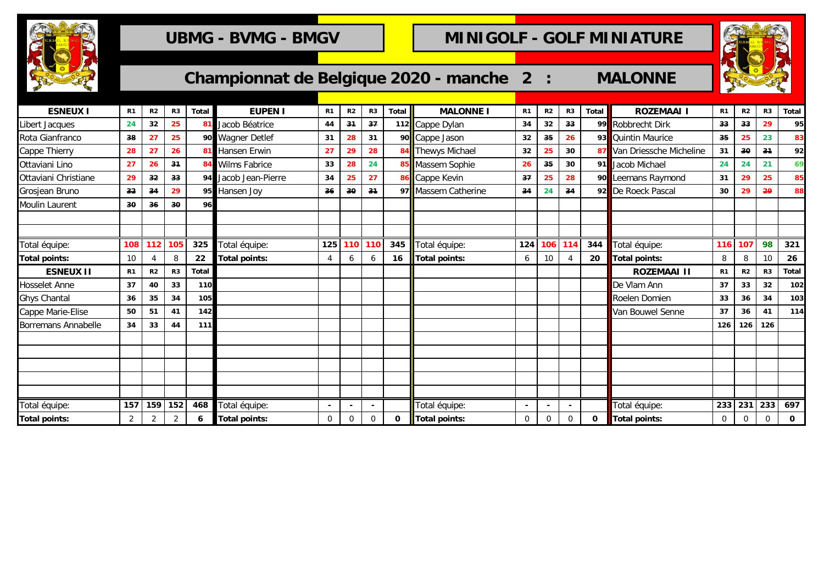

## UBMG - BVMG - BMGV **COLE MINIGOLF - GOLF MINIATURE**



| <b>ROCKET</b>         |                |                 |                |              |                      |                |                |             |              | Championnat de Belgique 2020 - manche 2 : |                |                |                 |       | <b>MALONNE</b>          |                |                |                |              |
|-----------------------|----------------|-----------------|----------------|--------------|----------------------|----------------|----------------|-------------|--------------|-------------------------------------------|----------------|----------------|-----------------|-------|-------------------------|----------------|----------------|----------------|--------------|
|                       |                |                 |                |              |                      |                |                |             |              |                                           |                |                |                 |       |                         |                |                |                |              |
| <b>ESNEUX I</b>       | R <sub>1</sub> | R2              | R3             | <b>Total</b> | <b>EUPEN I</b>       | R <sub>1</sub> | R <sub>2</sub> | R3          | <b>Total</b> | <b>MALONNE I</b>                          | R <sub>1</sub> | R <sub>2</sub> | R <sub>3</sub>  | Total | <b>ROZEMAAI I</b>       | R1             | R <sub>2</sub> | R <sub>3</sub> | <b>Total</b> |
| Libert Jacques        | 24             | 32              | 25             |              | Jacob Béatrice       | 44             | 31             | 37          |              | 112 Cappe Dylan                           | 34             | 32             | 33              | 99    | Robbrecht Dirk          | 33             | 33             | 29             | 95           |
| Rota Gianfranco       | 38             | 27              | 25             | 90           | <b>Wagner Detlef</b> | 31             | 28             | 31          |              | 90 Cappe Jason                            | 32             | 35             | 26              | 93    | Quintin Maurice         | 35             | 25             | 23             | 83           |
| Cappe Thierry         | 28             | 27              | 26             |              | 81 Hansen Erwin      | 27             | 29             | 28          |              | 84 Thewys Michael                         | 32             | 25             | 30              | 87    | Van Driessche Micheline | 31             | 30             | 3 <sub>1</sub> | 92           |
| Ottaviani Lino        | 27             | 26              | 31             |              | 84 Wilms Fabrice     | 33             | 28             | 24          |              | 85 Massem Sophie                          | 26             | 35             | 30              | 91    | Jacob Michael           | 24             | 24             | 21             | 69           |
| Ottaviani Christiane  | 29             | 32 <sub>2</sub> | 33             |              | 94 Jacob Jean-Pierre | 34             | 25             | 27          |              | 86 Cappe Kevin                            | 37             | 25             | 28              | 90    | Leemans Raymond         | 31             | 29             | 25             | 85           |
| Grosjean Bruno        | 32             | 34              | 29             |              | 95 Hansen Joy        | 36             | 30             | 31          |              | 97 Massem Catherine                       | 34             | 24             | 34              | 92    | De Roeck Pascal         | 30             | 29             | 29             | 88           |
| <b>Moulin Laurent</b> | 30             | 36              | 30             | 96           |                      |                |                |             |              |                                           |                |                |                 |       |                         |                |                |                |              |
|                       |                |                 |                |              |                      |                |                |             |              |                                           |                |                |                 |       |                         |                |                |                |              |
|                       |                |                 |                |              |                      |                |                |             |              |                                           |                |                |                 |       |                         |                |                |                |              |
| Total équipe:         | 108            | 112             | 105            | 325          | Total équipe:        | 125            |                | 110 110     | 345          | Total équipe:                             | 124            | 106            | 11 <sup>4</sup> | 344   | Total équipe:           | 116            | 107            | 98             | 321          |
| <b>Total points:</b>  | 10             |                 | 8              | 22           | <b>Total points:</b> | $\overline{4}$ | 6              | 6           | 16           | <b>Total points:</b>                      | 6              | 10             |                 | 20    | Total points:           | 8              | 8              | 10             | 26           |
| <b>ESNEUX II</b>      | R <sub>1</sub> | R2              | R3             | Total        |                      |                |                |             |              |                                           |                |                |                 |       | <b>ROZEMAAI II</b>      | R1             | R2             | R <sub>3</sub> | <b>Total</b> |
| <b>Hosselet Anne</b>  | 37             | 40              | 33             | 110          |                      |                |                |             |              |                                           |                |                |                 |       | De Vlam Ann             | 37             | 33             | 32             | 102          |
| <b>Ghys Chantal</b>   | 36             | 35              | 34             | 105          |                      |                |                |             |              |                                           |                |                |                 |       | Roelen Domien           | 33             | 36             | 34             | 103          |
| Cappe Marie-Elise     | 50             | 51              | 41             | 142          |                      |                |                |             |              |                                           |                |                |                 |       | Van Bouwel Senne        | 37             | 36             | 41             | 114          |
| Borremans Annabelle   | 34             | 33              | 44             | 111          |                      |                |                |             |              |                                           |                |                |                 |       |                         | 126            | 126            | 126            |              |
|                       |                |                 |                |              |                      |                |                |             |              |                                           |                |                |                 |       |                         |                |                |                |              |
|                       |                |                 |                |              |                      |                |                |             |              |                                           |                |                |                 |       |                         |                |                |                |              |
|                       |                |                 |                |              |                      |                |                |             |              |                                           |                |                |                 |       |                         |                |                |                |              |
|                       |                |                 |                |              |                      |                |                |             |              |                                           |                |                |                 |       |                         |                |                |                |              |
|                       |                |                 |                |              |                      |                |                |             |              |                                           |                |                |                 |       |                         |                |                |                |              |
| Total équipe:         | 157            | 159             | 152            | 468          | Total équipe:        |                |                |             |              | Total équipe:                             | $\blacksquare$ |                |                 |       | Total équipe:           | 233            | 231            | 233            | 697          |
| <b>Total points:</b>  | $\overline{2}$ | $\overline{2}$  | $\overline{2}$ | 6            | <b>Total points:</b> | 0              | 0              | $\mathbf 0$ | $\mathbf 0$  | <b>Total points:</b>                      | $\mathbf 0$    | $\mathbf 0$    | $\mathbf 0$     | 0     | Total points:           | $\overline{0}$ | $\mathbf 0$    | $\mathbf 0$    | $\mathbf 0$  |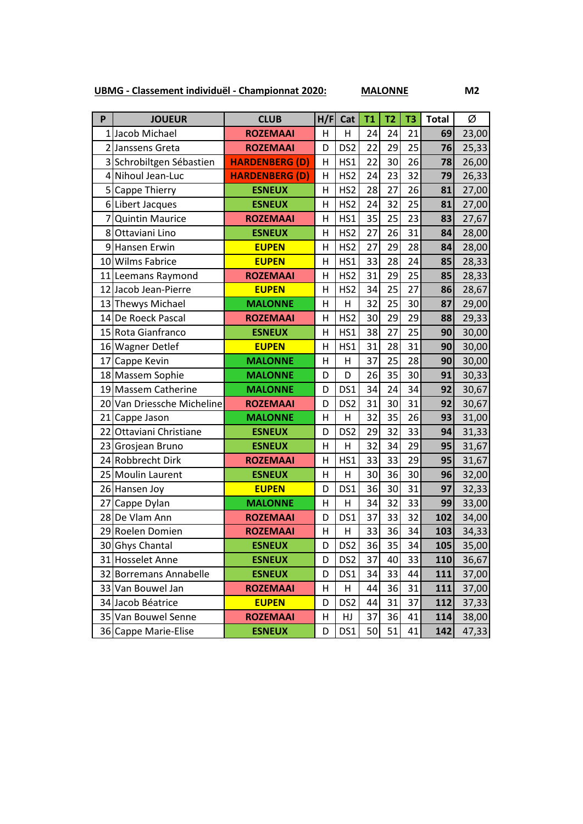**UBMG - Classement individuël - Championnat 2020: MALONNE M2**

| P  | <b>JOUEUR</b>              | <b>CLUB</b>           | H/F            | Cat             | <b>T1</b> | T <sub>2</sub> | T <sub>3</sub> | <b>Total</b> | Ø     |
|----|----------------------------|-----------------------|----------------|-----------------|-----------|----------------|----------------|--------------|-------|
|    | Jacob Michael              | <b>ROZEMAAI</b>       | н              | Η               | 24        | 24             | 21             | 69           | 23,00 |
| 2  | Janssens Greta             | <b>ROZEMAAI</b>       | D              | DS <sub>2</sub> | 22        | 29             | 25             | 76           | 25,33 |
| 3  | Schrobiltgen Sébastien     | <b>HARDENBERG (D)</b> | Η              | HS1             | 22        | 30             | 26             | 78           | 26,00 |
| 4  | Nihoul Jean-Luc            | <b>HARDENBERG (D)</b> | H              | HS <sub>2</sub> | 24        | 23             | 32             | 79           | 26,33 |
|    | 5 Cappe Thierry            | <b>ESNEUX</b>         | $\mathsf{H}$   | HS <sub>2</sub> | 28        | 27             | 26             | 81           | 27,00 |
|    | 6 Libert Jacques           | <b>ESNEUX</b>         | H              | HS <sub>2</sub> | 24        | 32             | 25             | 81           | 27,00 |
|    | <b>Quintin Maurice</b>     | <b>ROZEMAAI</b>       | H              | HS1             | 35        | 25             | 23             | 83           | 27,67 |
| 8  | Ottaviani Lino             | <b>ESNEUX</b>         | H              | HS <sub>2</sub> | 27        | 26             | 31             | 84           | 28,00 |
|    | 9 Hansen Erwin             | <b>EUPEN</b>          | H              | HS <sub>2</sub> | 27        | 29             | 28             | 84           | 28,00 |
|    | 10 Wilms Fabrice           | <b>EUPEN</b>          | H              | HS1             | 33        | 28             | 24             | 85           | 28,33 |
|    | 11 Leemans Raymond         | <b>ROZEMAAI</b>       | H              | HS <sub>2</sub> | 31        | 29             | 25             | 85           | 28,33 |
|    | 12 Jacob Jean-Pierre       | <b>EUPEN</b>          | $\overline{H}$ | HS <sub>2</sub> | 34        | 25             | 27             | 86           | 28,67 |
|    | 13 Thewys Michael          | <b>MALONNE</b>        | Η              | H               | 32        | 25             | 30             | 87           | 29,00 |
|    | 14 De Roeck Pascal         | <b>ROZEMAAI</b>       | H              | HS <sub>2</sub> | 30        | 29             | 29             | 88           | 29,33 |
|    | 15 Rota Gianfranco         | <b>ESNEUX</b>         | $\mathsf{H}$   | HS1             | 38        | 27             | 25             | 90           | 30,00 |
|    | 16 Wagner Detlef           | <b>EUPEN</b>          | H              | HS1             | 31        | 28             | 31             | 90           | 30,00 |
|    | 17 Cappe Kevin             | <b>MALONNE</b>        | $\overline{H}$ | H               | 37        | 25             | 28             | 90           | 30,00 |
|    | 18 Massem Sophie           | <b>MALONNE</b>        | D              | D               | 26        | 35             | 30             | 91           | 30,33 |
|    | 19 Massem Catherine        | <b>MALONNE</b>        | D              | DS1             | 34        | 24             | 34             | 92           | 30,67 |
|    | 20 Van Driessche Micheline | <b>ROZEMAAI</b>       | D              | DS <sub>2</sub> | 31        | 30             | 31             | 92           | 30,67 |
|    | 21 Cappe Jason             | <b>MALONNE</b>        | Н              | H               | 32        | 35             | 26             | 93           | 31,00 |
|    | 22 Ottaviani Christiane    | <b>ESNEUX</b>         | D              | DS <sub>2</sub> | 29        | 32             | 33             | 94           | 31,33 |
|    | 23 Grosjean Bruno          | <b>ESNEUX</b>         | H              | H               | 32        | 34             | 29             | 95           | 31,67 |
|    | 24 Robbrecht Dirk          | <b>ROZEMAAI</b>       | $\overline{H}$ | HS1             | 33        | 33             | 29             | 95           | 31,67 |
|    | 25 Moulin Laurent          | <b>ESNEUX</b>         | Η              | Η               | 30        | 36             | 30             | 96           | 32,00 |
|    | 26 Hansen Joy              | <b>EUPEN</b>          | D              | DS1             | 36        | 30             | 31             | 97           | 32,33 |
| 27 | Cappe Dylan                | <b>MALONNE</b>        | Η              | Η               | 34        | 32             | 33             | 99           | 33,00 |
|    | 28 De Vlam Ann             | <b>ROZEMAAI</b>       | D              | DS1             | 37        | 33             | 32             | 102          | 34,00 |
|    | 29 Roelen Domien           | <b>ROZEMAAI</b>       | H              | Н               | 33        | 36             | 34             | 103          | 34,33 |
|    | 30 Ghys Chantal            | <b>ESNEUX</b>         | D              | DS <sub>2</sub> | 36        | 35             | 34             | 105          | 35,00 |
|    | 31 Hosselet Anne           | <b>ESNEUX</b>         | D              | DS <sub>2</sub> | 37        | 40             | 33             | 110          | 36,67 |
|    | 32 Borremans Annabelle     | <b>ESNEUX</b>         | D              | DS1             | 34        | 33             | 44             | 111          | 37,00 |
|    | 33 Van Bouwel Jan          | <b>ROZEMAAI</b>       | н              | H               | 44        | 36             | 31             | 111          | 37,00 |
|    | 34 Jacob Béatrice          | <b>EUPEN</b>          | D              | DS <sub>2</sub> | 44        | 31             | 37             | 112          | 37,33 |
|    | 35 Van Bouwel Senne        | <b>ROZEMAAI</b>       | н              | HJ              | 37        | 36             | 41             | 114          | 38,00 |
|    | 36 Cappe Marie-Elise       | <b>ESNEUX</b>         | D              | DS1             | 50        | 51             | 41             | 142          | 47,33 |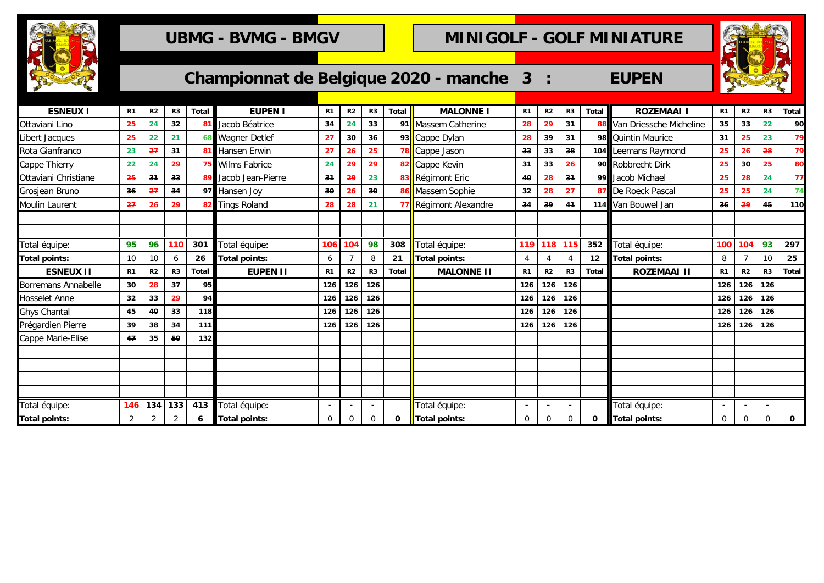

## UBMG - BVMG - BMGV **COLE MINIGOLF - GOLF MINIATURE**



| $\sim$<br>$\bullet$  |                |                |                 |       |                       |                |                |                |              | Championnat de Belgique 2020 - manche | $\mathbf{3}$   |                |                |              | <b>EUPEN</b>               |    |                |                |       |
|----------------------|----------------|----------------|-----------------|-------|-----------------------|----------------|----------------|----------------|--------------|---------------------------------------|----------------|----------------|----------------|--------------|----------------------------|----|----------------|----------------|-------|
| <b>ESNEUX I</b>      | R <sub>1</sub> | R <sub>2</sub> | R <sub>3</sub>  | Total | <b>EUPEN I</b>        | R <sub>1</sub> | R <sub>2</sub> | R <sub>3</sub> | <b>Total</b> | <b>MALONNE I</b>                      | R <sub>1</sub> | R <sub>2</sub> | R <sub>3</sub> | <b>Total</b> | <b>ROZEMAAI</b>            | R1 | R <sub>2</sub> | R <sub>3</sub> | Total |
| Ottaviani Lino       | 25             | 24             | 32 <sub>2</sub> |       | Jacob Béatrice        | 34             |                | 33             |              | 91 Massem Catherine                   | 28             | 29             | 31             |              | 88 Van Driessche Micheline | 35 | 33             |                | 90    |
| Libert Jacques       | 25             | 22             | 21              |       | <b>Wagner Detlef</b>  | 27             | 30             | 36             |              | 93 Cappe Dylan                        | 28             | 39             | 31             |              | 98 Quintin Maurice         | 34 | 25             |                | 79    |
| Rota Gianfranco      | 23             | $-27$          | 31              |       | <b>1</b> Hansen Erwin | 27             | 26             | 25             |              | 78 Cappe Jason                        | 33             | 33             | 38             |              | 104 Leemans Raymond        | 25 | 26             | 28             | 79    |
| Cappe Thierry        | 22             | 24             | 29              |       | <b>Wilms Fabrice</b>  | 24             | -29            | 29             |              | 82 Cappe Kevin                        | 31             | 33             | 26             |              | 90 Robbrecht Dirk          | 25 | 30             | 25             | 80    |
| Ottaviani Christiane | 25             | 31             | 33              |       | Jacob Jean-Pierre     | 34             | 29             | 23             |              | 83 Régimont Eric                      | 40             | 28             | 31             |              | 99 Jacob Michael           | 25 | 28             | 24             | 77    |
| Grosjean Bruno       | 36             | $-27$          | 34              |       | 97 Hansen Joy         | 30             | 26             | 30             |              | 86 Massem Sophie                      | 32             | 28             | 27             |              | 87 De Roeck Pascal         | 25 | 25             |                | 74    |
| Moulin Laurent       | 27             | 26             | 29              |       | 82 Tings Roland       | 28             | 28             | 21             |              | 77 Régimont Alexandre                 | 34             | 39             | 41             |              | 114 Van Bouwel Jan         | 36 | 29             | 45             | 110   |
|                      |                |                |                 |       |                       |                |                |                |              |                                       |                |                |                |              |                            |    |                |                |       |

| .                    |                |     |     |       |                      |                |                |          |         | .                     |             |         |                |              |                    |     |                |                |       |
|----------------------|----------------|-----|-----|-------|----------------------|----------------|----------------|----------|---------|-----------------------|-------------|---------|----------------|--------------|--------------------|-----|----------------|----------------|-------|
| Ottaviani Christiane | 25             | 34  | 33  |       | Jacob Jean-Pierre    | 34             | 29             | 23       |         | 83 Régimont Eric      | 40          | 28      | 31             |              | 99 Jacob Michael   | 25  | 28             | 24             | 77    |
| Grosjean Bruno       | 36             | 27  | 34  |       | 97 Hansen Joy        | 30             | 26             | 30       |         | 86 Massem Sophie      | 32          | 28      | 27             |              | 87 De Roeck Pascal | 25  | 25             | 24             | 74    |
| Moulin Laurent       | 27             | 26  | 29  |       | <b>Tings Roland</b>  | 28             | 28             | 21       |         | 77 Régimont Alexandre | 34          | 39      | 41             |              | 114 Van Bouwel Jan | 36  | -29            | 45             | 110   |
|                      |                |     |     |       |                      |                |                |          |         |                       |             |         |                |              |                    |     |                |                |       |
|                      |                |     |     |       |                      |                |                |          |         |                       |             |         |                |              |                    |     |                |                |       |
| Total équipe:        | 95             | 96  | 110 | 301   | Total équipe:        | 106            | 104            | 98       | 308     | Total équipe:         | 119         | 118 115 |                | 352          | Total équipe:      | 100 | 104            | 93             | 297   |
| <b>Total points:</b> | 10             |     | h   | 26    | <b>Total points:</b> | 6              |                | 8        | 21      | Total points:         |             |         |                | 12           | Total points:      | 8   |                | 10             | 25    |
| <b>ESNEUX II</b>     | R1             | R2  | R3  | Total | <b>EUPEN II</b>      | R <sub>1</sub> | R <sub>2</sub> | R3       | Total I | <b>MALONNE II</b>     | R1          | R2      | R3             | <b>Total</b> | <b>ROZEMAAI II</b> | R1  | R <sub>2</sub> | R <sub>3</sub> | Total |
| Borremans Annabelle  | 30             | 28  | 37  | 95    |                      | 126            | 126            | 126      |         |                       | 126         | 126     | 126            |              |                    | 126 | $126$ 126      |                |       |
| Hosselet Anne        | 32             | 33  | 29  | 94    |                      | 126            | 126            | 126      |         |                       | 126         | 126     | 126            |              |                    | 126 | 126            | 126            |       |
| Ghys Chantal         | 45             | 40  | 33  | 118   |                      | 126            | 126            | 126      |         |                       | 126         | 126     | 126            |              |                    | 126 | 126            | 126            |       |
| Prégardien Pierre    | 39             | 38  | 34  | 111   |                      | 126            | 126            | 126      |         |                       | 126         | 126     | 126            |              |                    | 126 | 126            | 126            |       |
| Cappe Marie-Elise    | 47             | 35  | 50  | 132   |                      |                |                |          |         |                       |             |         |                |              |                    |     |                |                |       |
|                      |                |     |     |       |                      |                |                |          |         |                       |             |         |                |              |                    |     |                |                |       |
|                      |                |     |     |       |                      |                |                |          |         |                       |             |         |                |              |                    |     |                |                |       |
|                      |                |     |     |       |                      |                |                |          |         |                       |             |         |                |              |                    |     |                |                |       |
|                      |                |     |     |       |                      |                |                |          |         |                       |             |         |                |              |                    |     |                |                |       |
| Total équipe:        | 146            | 134 | 133 | 413   | Total équipe:        |                |                |          |         | Total équipe:         |             |         |                |              | Total équipe:      |     |                |                |       |
| <b>Total points:</b> | $\overline{a}$ |     |     | 6     | <b>Total points:</b> | $\overline{0}$ | 0              | $\Omega$ | 0       | Total points:         | $\mathbf 0$ | 0       | $\overline{0}$ | 0            | Total points:      | 0   | $\mathbf 0$    |                | 0     |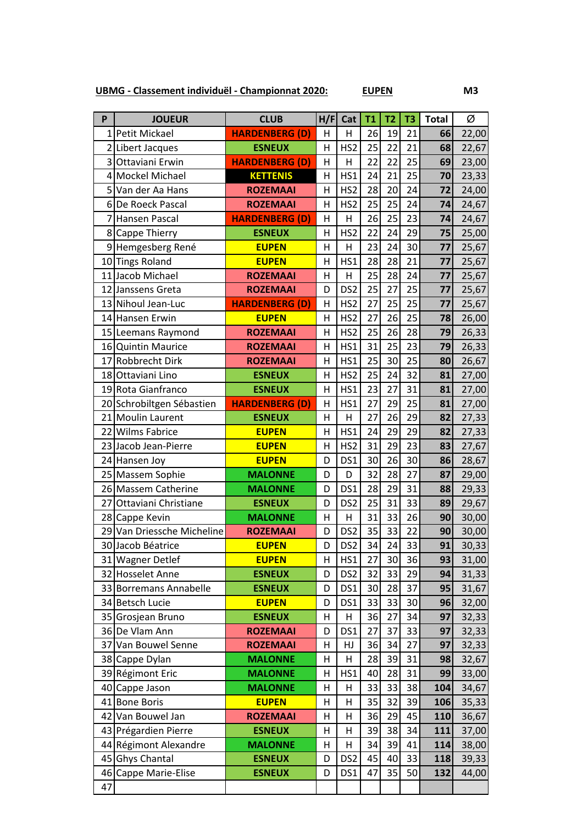**UBMG - Classement individuël - Championnat 2020: EUPEN M3**

**P JOUEUR CLUB H/F Cat T1 T2 T3 Total** Ø Petit Mickael **HARDENBERG (D)** H H 26 19 21 **66** 22,00 Libert Jacques **ESNEUX** H HS2 25 22 21 **68** 22,67 Ottaviani Erwin **HARDENBERG (D)** H H 22 22 25 **69** 23,00 Mockel Michael **KETTENIS** H HS1 24 21 25 **70** 23,33 Van der Aa Hans **ROZEMAAI** H HS2 28 20 24 **72** 24,00 De Roeck Pascal **ROZEMAAI** H HS2 25 25 24 **74** 24,67 Hansen Pascal **HARDENBERG (D)** H H 26 25 23 **74** 24,67 Cappe Thierry **ESNEUX** H HS2 22 24 29 **75** 25,00 9 Hemgesberg René **| EUPEN** H | H | 23 24 30 77 25,67 Tings Roland **EUPEN** H HS1 28 28 21 **77** 25,67 Jacob Michael **ROZEMAAI** H H 25 28 24 **77** 25,67 12 Janssens Greta **ROZEMAAI** D DS2 25 27 25 **77** 25,67 13 Nihoul Jean-Luc **HARDENBERG (D)** H | HS2 | 27 | 25 | 27 | 25,67 Hansen Erwin **EUPEN** H HS2 27 26 25 **78** 26,00 Leemans Raymond **ROZEMAAI** H HS2 25 26 28 **79** 26,33 Quintin Maurice **ROZEMAAI** H HS1 31 25 23 **79** 26,33 Robbrecht Dirk **ROZEMAAI** H HS1 25 30 25 **80** 26,67 Ottaviani Lino **ESNEUX** H HS2 25 24 32 **81** 27,00 Rota Gianfranco **ESNEUX** H HS1 23 27 31 **81** 27,00 Schrobiltgen Sébastien **HARDENBERG (D)** H HS1 27 29 25 **81** 27,00 Moulin Laurent **ESNEUX** H H 27 26 29 **82** 27,33 22 Wilms Fabrice **COUPEN** H HS1 24 29 29 82 27,33 Jacob Jean-Pierre **EUPEN** H HS2 31 29 23 **83** 27,67

|    | 23 Jacob Jean-Pierre       | <b>EUPEN</b>    | н              | HS2             | 31 | 29 | 23 | 83  | 27,67 |
|----|----------------------------|-----------------|----------------|-----------------|----|----|----|-----|-------|
|    | 24 Hansen Joy              | <b>EUPEN</b>    | D              | DS1             | 30 | 26 | 30 | 86  | 28,67 |
|    | 25 Massem Sophie           | <b>MALONNE</b>  | D              | D               | 32 | 28 | 27 | 87  | 29,00 |
|    | 26 Massem Catherine        | <b>MALONNE</b>  | D              | DS1             | 28 | 29 | 31 | 88  | 29,33 |
| 27 | Ottaviani Christiane       | <b>ESNEUX</b>   | D              | DS <sub>2</sub> | 25 | 31 | 33 | 89  | 29,67 |
|    | 28 Cappe Kevin             | <b>MALONNE</b>  | H              | H               | 31 | 33 | 26 | 90  | 30,00 |
|    | 29 Van Driessche Micheline | <b>ROZEMAAI</b> | D              | DS <sub>2</sub> | 35 | 33 | 22 | 90  | 30,00 |
|    | 30 Jacob Béatrice          | <b>EUPEN</b>    | D              | DS <sub>2</sub> | 34 | 24 | 33 | 91  | 30,33 |
|    | 31 Wagner Detlef           | <b>EUPEN</b>    | $\overline{H}$ | HS1             | 27 | 30 | 36 | 93  | 31,00 |
|    | 32 Hosselet Anne           | <b>ESNEUX</b>   | D              | DS <sub>2</sub> | 32 | 33 | 29 | 94  | 31,33 |
|    | 33 Borremans Annabelle     | <b>ESNEUX</b>   | D              | DS1             | 30 | 28 | 37 | 95  | 31,67 |
|    | 34 Betsch Lucie            | <b>EUPEN</b>    | D              | DS1             | 33 | 33 | 30 | 96  | 32,00 |
|    | 35 Grosjean Bruno          | <b>ESNEUX</b>   | н              | н               | 36 | 27 | 34 | 97  | 32,33 |
|    | 36 De Vlam Ann             | <b>ROZEMAAI</b> | D              | DS1             | 27 | 37 | 33 | 97  | 32,33 |
| 37 | Van Bouwel Senne           | <b>ROZEMAAI</b> | н              | HJ              | 36 | 34 | 27 | 97  | 32,33 |
|    | 38 Cappe Dylan             | <b>MALONNE</b>  | н              | H               | 28 | 39 | 31 | 98  | 32,67 |
|    | 39 Régimont Eric           | <b>MALONNE</b>  | Η              | HS1             | 40 | 28 | 31 | 99  | 33,00 |
| 40 | Cappe Jason                | <b>MALONNE</b>  | H              | H               | 33 | 33 | 38 | 104 | 34,67 |
|    | 41 Bone Boris              | <b>EUPEN</b>    | H              | H               | 35 | 32 | 39 | 106 | 35,33 |
| 42 | Van Bouwel Jan             | <b>ROZEMAAI</b> | н              | н               | 36 | 29 | 45 | 110 | 36,67 |
|    | 43 Prégardien Pierre       | <b>ESNEUX</b>   | н              | н               | 39 | 38 | 34 | 111 | 37,00 |
|    | 44 Régimont Alexandre      | <b>MALONNE</b>  | н              | н               | 34 | 39 | 41 | 114 | 38,00 |
|    | 45 Ghys Chantal            | <b>ESNEUX</b>   | D              | DS <sub>2</sub> | 45 | 40 | 33 | 118 | 39,33 |
| 46 | Cappe Marie-Elise          | <b>ESNEUX</b>   | D              | DS1             | 47 | 35 | 50 | 132 | 44,00 |
| 47 |                            |                 |                |                 |    |    |    |     |       |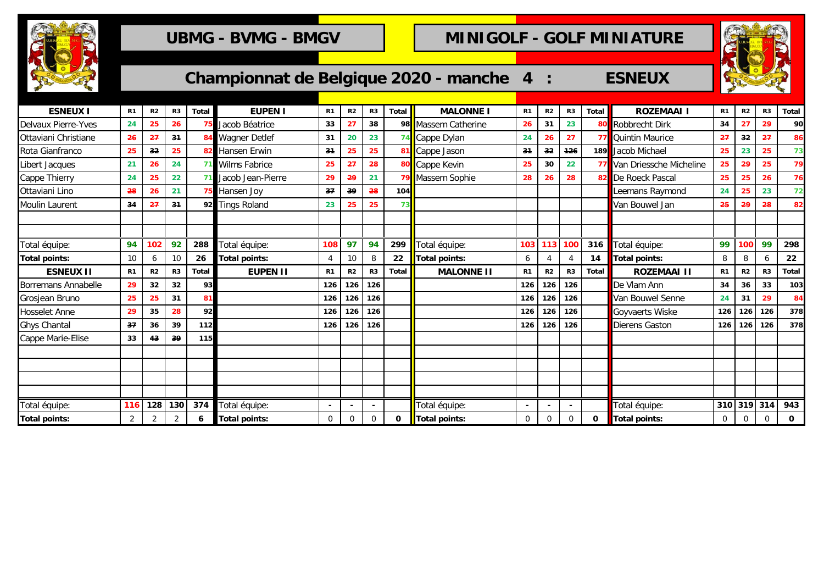

## UBMG - BVMG - BMGV **COLF MINIGOLF - GOLF MINIATURE**

S

| <b>ROCKET</b>              |                |                |                |              |                      |                |                |             |              | Championnat de Belgique 2020 - manche 4 |                          | $\ddot{\cdot}$ |                |              | <b>ESNEUX</b>                     |                |                | <b>ANGELON</b> |             |
|----------------------------|----------------|----------------|----------------|--------------|----------------------|----------------|----------------|-------------|--------------|-----------------------------------------|--------------------------|----------------|----------------|--------------|-----------------------------------|----------------|----------------|----------------|-------------|
| <b>ESNEUX I</b>            | R <sub>1</sub> | R <sub>2</sub> | R3             | Total        | <b>EUPEN I</b>       | R <sub>1</sub> | R <sub>2</sub> | R3          | Total        | <b>MALONNE I</b>                        | R1                       | R2             | R <sub>3</sub> | Total        | <b>ROZEMAAI I</b>                 | R1             | R <sub>2</sub> | R <sub>3</sub> | Total       |
| <b>Delvaux Pierre-Yves</b> | 24             | 25             | 26             |              | Jacob Béatrice       | 33             | 27             | 38          | 98           | Massem Catherine                        | 26                       | 31             | 23             |              | 80 Robbrecht Dirk                 | 34             | 27             | 29             | 90          |
| Ottaviani Christiane       | 26             | 27             | 34             |              | <b>Wagner Detlef</b> | 31             | 20             | 23          |              | Cappe Dylan                             | 24                       | 26             | 27             |              | 77 Quintin Maurice                | 27             | 32             | 27             | 86          |
| Rota Gianfranco            | 25             | 32             | 25             |              | Hansen Erwin         | 31             | 25             | 25          |              | 81 Cappe Jason                          | 34                       | 32             | 126            |              | 189 Jacob Michael                 | 25             | 23             | 25             | 73          |
| Libert Jacques             | 21             | 26             | 24             | 71           | <b>Wilms Fabrice</b> | 25             | 27             | 28          |              | 80 Cappe Kevin                          | 25                       | 30             | 22             |              | <b>77</b> Van Driessche Micheline | 25             | 29             | 25             | 79          |
| Cappe Thierry              | 24             | 25             | 22             | 71           | Jacob Jean-Pierre    | 29             | 29             | 21          |              | Massem Sophie                           | 28                       | 26             | 28             |              | 82 De Roeck Pascal                | 25             | 25             | 26             | 76          |
| Ottaviani Lino             | 28             | 26             | 21             |              | Hansen Joy           | 37             | 39             | 28          | 104          |                                         |                          |                |                |              | Leemans Raymond                   | 24             | 25             | 23             | 72          |
| Moulin Laurent             | 34             | 27             | 34             | 92           | <b>Tings Roland</b>  | 23             | 25             | 25          | 73           |                                         |                          |                |                |              | Van Bouwel Jan                    | 25             | 29             | 28             | 82          |
|                            |                |                |                |              |                      |                |                |             |              |                                         |                          |                |                |              |                                   |                |                |                |             |
|                            |                |                |                |              |                      |                |                |             |              |                                         |                          |                |                |              |                                   |                |                |                |             |
| Total équipe:              | 94             | 102            | 92             | 288          | Total équipe:        | 108            | 97             | 94          | 299          | Total équipe:                           | 103                      | 113            | 100            | 316          | Total équipe:                     | 99             | 100            | 99             | 298         |
| <b>Total points:</b>       | 10             | 6              | 10             | 26           | <b>Total points:</b> | $\overline{4}$ | 10             | 8           | 22           | Total points:                           | 6                        | $\overline{4}$ |                | 14           | <b>Total points:</b>              | 8              | 8              | 6              | 22          |
| <b>ESNEUX II</b>           | R <sub>1</sub> | R <sub>2</sub> | R <sub>3</sub> | <b>Total</b> | <b>EUPEN II</b>      | R <sub>1</sub> | R <sub>2</sub> | R3          | <b>Total</b> | <b>MALONNE II</b>                       | R1                       | R2             | R <sub>3</sub> | <b>Total</b> | <b>ROZEMAAI II</b>                | R <sub>1</sub> | R2             | R <sub>3</sub> | Total       |
| Borremans Annabelle        | 29             | 32             | 32             | 93           |                      | 126            | 126            | 126         |              |                                         | 126                      | 126            | 126            |              | De Vlam Ann                       | 34             | 36             | 33             | 103         |
| Grosjean Bruno             | 25             | 25             | 31             | 81           |                      | 126            | 126            | 126         |              |                                         | 126                      | 126            | 126            |              | Van Bouwel Senne                  | 24             | 31             | 29             | 84          |
| Hosselet Anne              | 29             | 35             | 28             | 92           |                      | 126            | 126            | 126         |              |                                         | 126                      | 126            | 126            |              | Goyvaerts Wiske                   | 126            | 126            | 126            | 378         |
| Ghys Chantal               | 37             | 36             | 39             | 112          |                      | 126            | 126            | 126         |              |                                         | 126                      | 126            | 126            |              | <b>Dierens Gaston</b>             | 126            | 126            | 126            | 378         |
| Cappe Marie-Elise          | 33             | 43             | 39             | 115          |                      |                |                |             |              |                                         |                          |                |                |              |                                   |                |                |                |             |
|                            |                |                |                |              |                      |                |                |             |              |                                         |                          |                |                |              |                                   |                |                |                |             |
|                            |                |                |                |              |                      |                |                |             |              |                                         |                          |                |                |              |                                   |                |                |                |             |
|                            |                |                |                |              |                      |                |                |             |              |                                         |                          |                |                |              |                                   |                |                |                |             |
|                            |                |                |                |              |                      |                |                |             |              |                                         |                          |                |                |              |                                   |                |                |                |             |
| Total équipe:              | 116            | 128            | 130            | 374          | Total équipe:        |                |                |             |              | Total équipe:                           | $\overline{\phantom{a}}$ |                |                |              | Total équipe:                     |                | 310 319 314    |                | 943         |
| <b>Total points:</b>       | $\overline{2}$ | 2              | $\overline{2}$ | 6            | <b>Total points:</b> | 0              | $\mathbf 0$    | $\mathbf 0$ | 0            | <b>Total points:</b>                    | $\mathbf 0$              | $\mathbf 0$    | $\mathbf 0$    | 0            | <b>Total points:</b>              | $\mathbf 0$    | $\overline{0}$ | $\Omega$       | $\mathbf 0$ |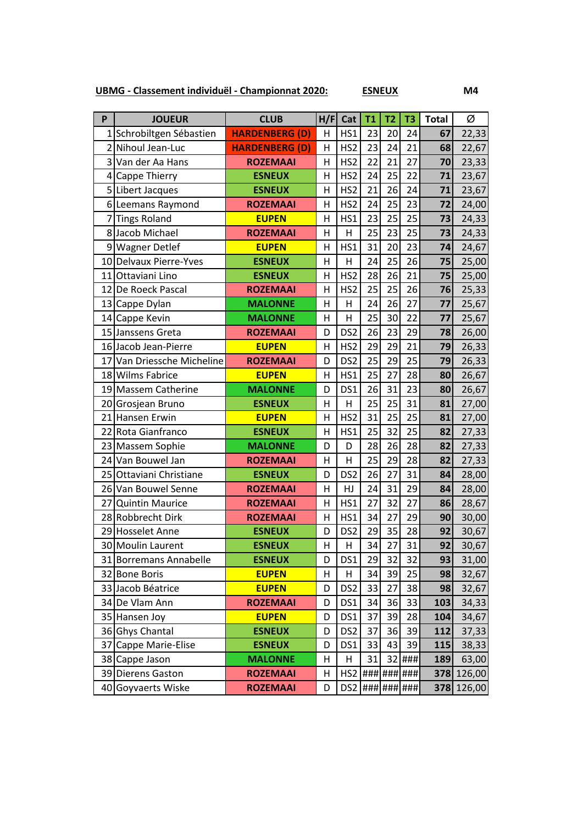**UBMG - Classement individuël - Championnat 2020: ESNEUX M4**

| P              | <b>JOUEUR</b>              | <b>CLUB</b>           | H/F                     | Cat             | <b>T1</b> | T <sub>2</sub> | T <sub>3</sub> | <b>Total</b> | Ø      |
|----------------|----------------------------|-----------------------|-------------------------|-----------------|-----------|----------------|----------------|--------------|--------|
|                | 1 Schrobiltgen Sébastien   | <b>HARDENBERG (D)</b> | н                       | HS1             | 23        | 20             | 24             | 67           | 22,33  |
|                | 2 Nihoul Jean-Luc          | <b>HARDENBERG (D)</b> | Η                       | HS <sub>2</sub> | 23        | 24             | 21             | 68           | 22,67  |
|                | 3 Van der Aa Hans          | <b>ROZEMAAI</b>       | $\overline{\mathsf{H}}$ | HS <sub>2</sub> | 22        | 21             | 27             | 70           | 23,33  |
| $\overline{4}$ | Cappe Thierry              | <b>ESNEUX</b>         | Η                       | HS <sub>2</sub> | 24        | 25             | 22             | 71           | 23,67  |
|                | 5 Libert Jacques           | <b>ESNEUX</b>         | Η                       | HS <sub>2</sub> | 21        | 26             | 24             | 71           | 23,67  |
|                | 6 Leemans Raymond          | <b>ROZEMAAI</b>       | Η                       | HS <sub>2</sub> | 24        | 25             | 23             | 72           | 24,00  |
| 7              | <b>Tings Roland</b>        | <b>EUPEN</b>          | Η                       | HS1             | 23        | 25             | 25             | 73           | 24,33  |
|                | 8 Jacob Michael            | <b>ROZEMAAI</b>       | Η                       | H               | 25        | 23             | 25             | 73           | 24,33  |
|                | 9 Wagner Detlef            | <b>EUPEN</b>          | H                       | HS1             | 31        | 20             | 23             | 74           | 24,67  |
|                | 10 Delvaux Pierre-Yves     | <b>ESNEUX</b>         | Η                       | Η               | 24        | 25             | 26             | 75           | 25,00  |
|                | 11 Ottaviani Lino          | <b>ESNEUX</b>         | Η                       | HS <sub>2</sub> | 28        | 26             | 21             | 75           | 25,00  |
|                | 12 De Roeck Pascal         | <b>ROZEMAAI</b>       | Η                       | HS <sub>2</sub> | 25        | 25             | 26             | 76           | 25,33  |
|                | 13 Cappe Dylan             | <b>MALONNE</b>        | Η                       | Н               | 24        | 26             | 27             | 77           | 25,67  |
|                | 14 Cappe Kevin             | <b>MALONNE</b>        | Η                       | Н               | 25        | 30             | 22             | 77           | 25,67  |
|                | 15 Janssens Greta          | <b>ROZEMAAI</b>       | D                       | DS <sub>2</sub> | 26        | 23             | 29             | 78           | 26,00  |
|                | 16 Jacob Jean-Pierre       | <b>EUPEN</b>          | Η                       | HS <sub>2</sub> | 29        | 29             | 21             | 79           | 26,33  |
|                | 17 Van Driessche Micheline | <b>ROZEMAAI</b>       | D                       | DS <sub>2</sub> | 25        | 29             | 25             | 79           | 26,33  |
|                | 18 Wilms Fabrice           | <b>EUPEN</b>          | Η                       | HS1             | 25        | 27             | 28             | 80           | 26,67  |
|                | 19 Massem Catherine        | <b>MALONNE</b>        | D                       | DS1             | 26        | 31             | 23             | 80           | 26,67  |
|                | 20 Grosjean Bruno          | <b>ESNEUX</b>         | H                       | $\overline{H}$  | 25        | 25             | 31             | 81           | 27,00  |
|                | 21 Hansen Erwin            | <b>EUPEN</b>          | H                       | HS <sub>2</sub> | 31        | 25             | 25             | 81           | 27,00  |
|                | 22 Rota Gianfranco         | <b>ESNEUX</b>         | $\overline{\mathsf{H}}$ | HS1             | 25        | 32             | 25             | 82           | 27,33  |
|                | 23 Massem Sophie           | <b>MALONNE</b>        | D                       | D               | 28        | 26             | 28             | 82           | 27,33  |
|                | 24 Van Bouwel Jan          | <b>ROZEMAAI</b>       | H                       | H               | 25        | 29             | 28             | 82           | 27,33  |
|                | 25 Ottaviani Christiane    | <b>ESNEUX</b>         | D                       | DS <sub>2</sub> | 26        | 27             | 31             | 84           | 28,00  |
|                | 26 Van Bouwel Senne        | <b>ROZEMAAI</b>       | Η                       | HJ              | 24        | 31             | 29             | 84           | 28,00  |
| 27             | <b>Quintin Maurice</b>     | <b>ROZEMAAI</b>       | Η                       | HS1             | 27        | 32             | 27             | 86           | 28,67  |
|                | 28 Robbrecht Dirk          | <b>ROZEMAAI</b>       | H                       | HS1             | 34        | 27             | 29             | 90           | 30,00  |
|                | 29 Hosselet Anne           | <b>ESNEUX</b>         | D                       | DS <sub>2</sub> | 29        | 35             | 28             | 92           | 30,67  |
|                | 30 Moulin Laurent          | <b>ESNEUX</b>         | Н                       | Н               | 34        | 27             | 31             | 92           | 30,67  |
|                | 31 Borremans Annabelle     | <b>ESNEUX</b>         | D                       | DS1             | 29        | 32             | 32             | 93           | 31,00  |
|                | 32 Bone Boris              | <b>EUPEN</b>          | Н                       | Н               | 34        | 39             | 25             | 98           | 32,67  |
|                | 33 Jacob Béatrice          | <b>EUPEN</b>          | D                       | DS <sub>2</sub> | 33        | 27             | 38             | 98           | 32,67  |
|                | 34 De Vlam Ann             | <b>ROZEMAAI</b>       | D                       | DS1             | 34        | 36             | 33             | 103          | 34,33  |
|                | 35 Hansen Joy              | <b>EUPEN</b>          | D                       | DS1             | 37        | 39             | 28             | 104          | 34,67  |
|                | 36 Ghys Chantal            | <b>ESNEUX</b>         | D                       | DS <sub>2</sub> | 37        | 36             | 39             | 112          | 37,33  |
|                | 37 Cappe Marie-Elise       | <b>ESNEUX</b>         | D                       | DS1             | 33        | 43             | 39             | 115          | 38,33  |
|                | 38 Cappe Jason             | <b>MALONNE</b>        | Н                       | н               | 31        |                | 32 ###         | 189          | 63,00  |
|                | 39 Dierens Gaston          | <b>ROZEMAAI</b>       | Н                       | HS <sub>2</sub> |           |                | ### ### ###    | 378          | 126,00 |
|                | 40 Goyvaerts Wiske         | <b>ROZEMAAI</b>       | D                       | DS <sub>2</sub> |           |                | ### ### ###    | 378          | 126,00 |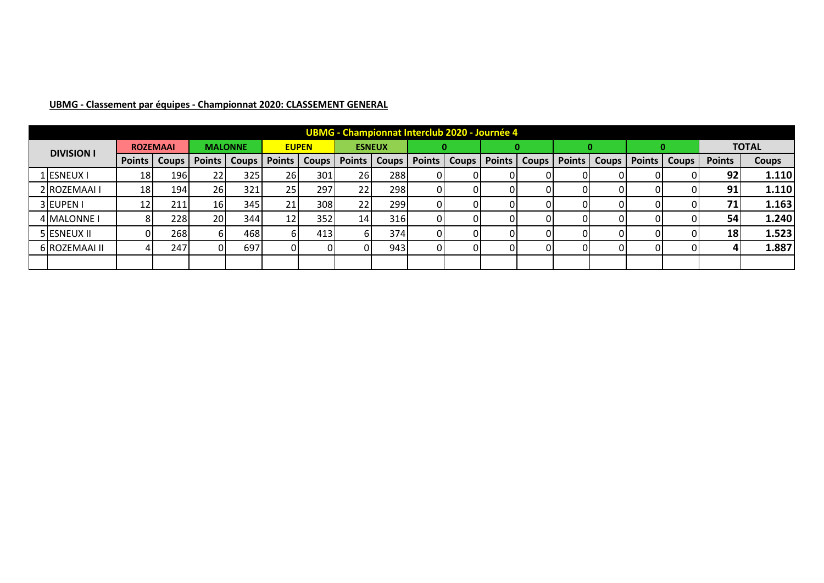|                   |               |                 |                 |                |                 |              |               |               |               |       | <b>UBMG - Championnat Interclub 2020 - Journée 4</b> |              |               |              |               |              |               |              |
|-------------------|---------------|-----------------|-----------------|----------------|-----------------|--------------|---------------|---------------|---------------|-------|------------------------------------------------------|--------------|---------------|--------------|---------------|--------------|---------------|--------------|
| <b>DIVISION I</b> |               | <b>ROZEMAAI</b> |                 | <b>MALONNE</b> |                 | <b>EUPEN</b> |               | <b>ESNEUX</b> |               |       |                                                      |              |               |              |               |              |               | <b>TOTAL</b> |
|                   | <b>Points</b> | <b>Coups</b>    | <b>Points</b>   | <b>Coups</b>   | <b>Points</b>   | <b>Coups</b> | <b>Points</b> | <b>Coups</b>  | <b>Points</b> | Coups | <b>Points</b>                                        | <b>Coups</b> | <b>Points</b> | <b>Coups</b> | <b>Points</b> | <b>Coups</b> | <b>Points</b> | <b>Coups</b> |
| L ESNEUX I        | 18            | 1961            | 22              | 325I           | <b>26</b>       | 301          | <b>26</b>     | 288           | 01            |       | ωL                                                   |              |               | 01           |               |              | 92            | 1.110        |
| 2 ROZEMAAI I      | 18            | 194             | 26              | 321            | 25 <sub>l</sub> | 297          | 22            | 298           | ΟI            |       |                                                      |              |               | 01           |               |              | 91            | 1.110        |
| 3EUPEN I          | 12            | 211             | 16 <sub>l</sub> | 345            | 21              | 308          | 22            | 299           | ΟI            |       |                                                      |              |               | 01           |               |              | 71            | 1.163        |
| 4 MALONNE I       |               | 228             | 20 <sub>l</sub> | 344            | 12              | 352          | 14            | 316           | ΩI            |       |                                                      |              |               | ΩI           |               |              | 54            | 1.240        |
| 5 ESNEUX II       |               | 268             |                 | 468            | 61              | 413          | b.            | 374           | ΟI            |       |                                                      |              |               | 01           |               |              | 18            | 1.523        |
| 6 ROZEMAAI II     |               | 247             |                 | 697            | ΩI              |              |               | 943           | ΟI            |       |                                                      |              |               | 01           |               |              |               | 1.887        |
|                   |               |                 |                 |                |                 |              |               |               |               |       |                                                      |              |               |              |               |              |               |              |

## **UBMG - Classement par équipes - Championnat 2020: CLASSEMENT GENERAL**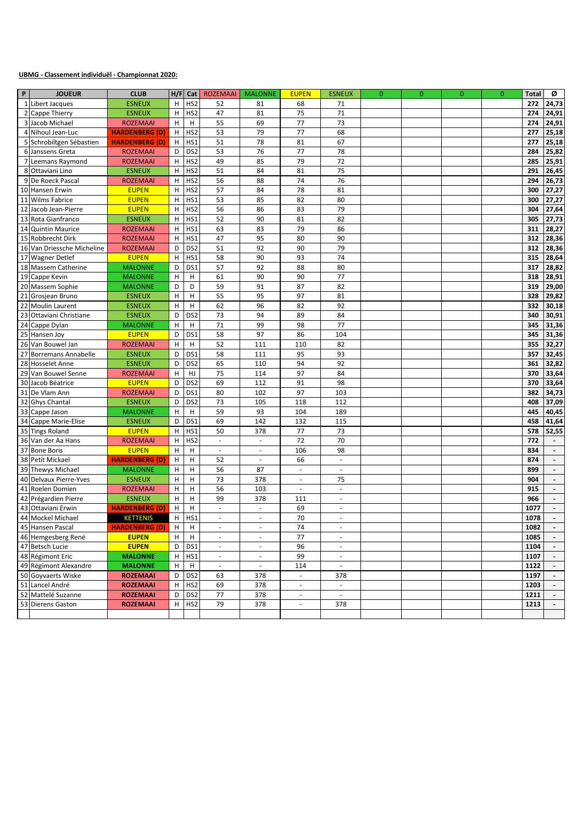#### **UBMG - Classement individuël - Championnat 2020:**

| P  | <b>JOUEUR</b>              | <b>CLUB</b>           |   | $H/F$ Cat                 | <b>ROZEMAAI</b>             | <b>MALONNE</b>              | <b>EUPEN</b>             | <b>ESNEUX</b>            | $\mathbf{0}$ | $\mathbf{0}$ | $\mathbf{0}$ | $\mathbf{0}$ | <b>Total</b> | ø                        |
|----|----------------------------|-----------------------|---|---------------------------|-----------------------------|-----------------------------|--------------------------|--------------------------|--------------|--------------|--------------|--------------|--------------|--------------------------|
|    | 1 Libert Jacques           | <b>ESNEUX</b>         | Н | HS <sub>2</sub>           | 52                          | 81                          | 68                       | 71                       |              |              |              |              | 272          | 24,73                    |
|    | 2 Cappe Thierry            | <b>ESNEUX</b>         | H | HS <sub>2</sub>           | 47                          | 81                          | 75                       | 71                       |              |              |              |              | 274          | 24,91                    |
|    | 3 Jacob Michael            | <b>ROZEMAAI</b>       | н | H                         | 55                          | 69                          | 77                       | 73                       |              |              |              |              | 274          | 24,91                    |
|    | 4 Nihoul Jean-Luc          | <b>HARDENBERG (D)</b> | H | HS <sub>2</sub>           | 53                          | 79                          | 77                       | 68                       |              |              |              |              | 277          | 25,18                    |
|    | 5 Schrobiltgen Sébastien   | <b>HARDENBERG (D)</b> | Н | HS1                       | 51                          | 78                          | 81                       | 67                       |              |              |              |              | 277          | 25,18                    |
|    | 6 Janssens Greta           | <b>ROZEMAAI</b>       | D | DS <sub>2</sub>           | 53                          | 76                          | 77                       | 78                       |              |              |              |              | 284          | 25,82                    |
|    | 7 Leemans Raymond          | <b>ROZEMAAI</b>       | H | HS <sub>2</sub>           | 49                          | 85                          | 79                       | 72                       |              |              |              |              | 285          | 25,91                    |
|    | 8 Ottaviani Lino           | <b>ESNEUX</b>         | H | HS <sub>2</sub>           | 51                          | 84                          | 81                       | 75                       |              |              |              |              | 291          | 26,45                    |
|    | 9 De Roeck Pascal          | <b>ROZEMAAI</b>       | H | HS <sub>2</sub>           | 56                          | 88                          | 74                       | 76                       |              |              |              |              | 294          | 26,73                    |
|    | 10 Hansen Erwin            | <b>EUPEN</b>          | H | HS <sub>2</sub>           | 57                          | 84                          | 78                       | 81                       |              |              |              |              | 300          | 27,27                    |
| 11 | <b>Wilms Fabrice</b>       | <b>EUPEN</b>          | H | HS1                       | 53                          | 85                          | 82                       | 80                       |              |              |              |              | 300          | 27,27                    |
| 12 | Jacob Jean-Pierre          | <b>EUPEN</b>          | H | HS <sub>2</sub>           | 56                          | 86                          | 83                       | 79                       |              |              |              |              | 304          | 27,64                    |
|    | 13 Rota Gianfranco         | <b>ESNEUX</b>         | H | HS1                       | 52                          | 90                          | 81                       | 82                       |              |              |              |              | 305          | 27,73                    |
|    | 14 Quintin Maurice         | <b>ROZEMAAI</b>       | H | HS1                       | 63                          | 83                          | 79                       | 86                       |              |              |              |              | 311          | 28,27                    |
|    | 15 Robbrecht Dirk          | <b>ROZEMAAI</b>       | H | HS1                       | 47                          | 95                          | 80                       | 90                       |              |              |              |              | 312          | 28,36                    |
|    | 16 Van Driessche Micheline | <b>ROZEMAAI</b>       | D | DS <sub>2</sub>           | 51                          | 92                          | 90                       | 79                       |              |              |              |              | 312          | 28,36                    |
|    | 17 Wagner Detlef           | <b>EUPEN</b>          | H | HS1                       | 58                          | 90                          | 93                       | 74                       |              |              |              |              | 315          | 28,64                    |
|    | 18 Massem Catherine        | <b>MALONNE</b>        | D | DS1                       | 57                          | 92                          | 88                       | 80                       |              |              |              |              | 317          | 28,82                    |
|    | 19 Cappe Kevin             | <b>MALONNE</b>        | н | н                         | 61                          | 90                          | 90                       | 77                       |              |              |              |              | 318          | 28,91                    |
|    | 20 Massem Sophie           | <b>MALONNE</b>        | D | D                         | 59                          | 91                          | 87                       | 82                       |              |              |              |              | 319          | 29,00                    |
| 21 | Grosjean Bruno             | <b>ESNEUX</b>         | H | H                         | 55                          | 95                          | 97                       | 81                       |              |              |              |              | 328          | 29,82                    |
|    | 22 Moulin Laurent          | <b>ESNEUX</b>         | H | Н                         | 62                          | 96                          | 82                       | 92                       |              |              |              |              | 332          | 30,18                    |
| 23 | Ottaviani Christiane       | <b>ESNEUX</b>         | D | DS <sub>2</sub>           | 73                          | 94                          | 89                       | 84                       |              |              |              |              | 340          | 30,91                    |
|    | 24 Cappe Dylan             | <b>MALONNE</b>        | H | н                         | 71                          | 99                          | 98                       | 77                       |              |              |              |              | 345          | 31,36                    |
|    | 25 Hansen Joy              | <b>EUPEN</b>          | D | DS1                       | 58                          | 97                          | 86                       | 104                      |              |              |              |              | 345          | 31,36                    |
|    | 26 Van Bouwel Jan          | <b>ROZEMAAI</b>       | н | н                         | 52                          | 111                         | 110                      | 82                       |              |              |              |              | 355          | 32,27                    |
| 27 | <b>Borremans Annabelle</b> | <b>ESNEUX</b>         | D | DS1                       | 58                          | 111                         | 95                       | 93                       |              |              |              |              | 357          | 32,45                    |
|    | 28 Hosselet Anne           | <b>ESNEUX</b>         | D | DS <sub>2</sub>           | 65                          | 110                         | 94                       | 92                       |              |              |              |              | 361          | 32,82                    |
|    | 29 Van Bouwel Senne        | <b>ROZEMAAI</b>       | H | HJ                        | 75                          | 114                         | 97                       | 84                       |              |              |              |              | 370          | 33,64                    |
|    | 30 Jacob Béatrice          | <b>EUPEN</b>          | D | DS <sub>2</sub>           | 69                          | 112                         | 91                       | 98                       |              |              |              |              | 370          | 33,64                    |
|    | 31 De Vlam Ann             | <b>ROZEMAAI</b>       | D | DS1                       | 80                          | 102                         | 97                       | 103                      |              |              |              |              | 382          | 34,73                    |
|    | 32 Ghys Chantal            | <b>ESNEUX</b>         | D | DS <sub>2</sub>           | 73                          | 105                         | 118                      | 112                      |              |              |              |              | 408          | 37,09                    |
|    | 33 Cappe Jason             | <b>MALONNE</b>        | н | $\boldsymbol{\mathsf{H}}$ | 59                          | 93                          | 104                      | 189                      |              |              |              |              | 445          | 40,45                    |
|    | 34 Cappe Marie-Elise       | <b>ESNEUX</b>         | D | DS1                       | 69                          | 142                         | 132                      | 115                      |              |              |              |              | 458          | 41,64                    |
|    | 35 Tings Roland            | <b>EUPEN</b>          | Н | HS1                       | 50                          | 378                         | 77                       | 73                       |              |              |              |              | 578          | 52,55                    |
|    | 36 Van der Aa Hans         | <b>ROZEMAAI</b>       | H | HS <sub>2</sub>           | ä,                          | $\sim$                      | 72                       | 70                       |              |              |              |              | 772          |                          |
|    | 37 Bone Boris              | <b>EUPEN</b>          | H | н                         | $\mathcal{L}_{\mathcal{A}}$ | $\mathcal{L}_{\mathcal{A}}$ | 106                      | 98                       |              |              |              |              | 834          | $\overline{\phantom{a}}$ |
|    | 38 Petit Mickael           | <b>HARDENBERG (D)</b> | H | н                         | 52                          | $\overline{\phantom{a}}$    | 66                       | $\overline{\phantom{a}}$ |              |              |              |              | 874          |                          |
|    | 39 Thewys Michael          | <b>MALONNE</b>        | H | H                         | 56                          | 87                          | ä,                       | $\overline{\phantom{a}}$ |              |              |              |              | 899          |                          |
|    | 40 Delvaux Pierre-Yves     | <b>ESNEUX</b>         | Н | н                         | 73                          | 378                         | $\overline{\phantom{a}}$ | 75                       |              |              |              |              | 904          | $\overline{\phantom{a}}$ |
|    | 41 Roelen Domien           | <b>ROZEMAAI</b>       | H | н                         | 56                          | 103                         | $\omega$                 | $\overline{\phantom{a}}$ |              |              |              |              | 915          | $\overline{\phantom{a}}$ |
|    | 42 Prégardien Pierre       | <b>ESNEUX</b>         | н | н                         | 99                          | 378                         | 111                      | ×.                       |              |              |              |              | 966          |                          |
| 43 | Ottaviani Erwin            | <b>HARDENBERG (D)</b> | H | н                         | $\overline{\phantom{a}}$    | $\overline{\phantom{a}}$    | 69                       | $\overline{\phantom{a}}$ |              |              |              |              | 1077         |                          |
|    | 44 Mockel Michael          | <b>KETTENIS</b>       | H | HS1                       | $\overline{\phantom{a}}$    | $\sim$                      | 70                       | $\overline{\phantom{a}}$ |              |              |              |              | 1078         | $\overline{\phantom{a}}$ |
|    | 45 Hansen Pascal           | <b>HARDENBERG (D)</b> | H | $\overline{H}$            |                             |                             | 74                       |                          |              |              |              |              | 1082         |                          |
|    | 46 Hemgesberg René         | <b>EUPEN</b>          | H | H                         | $\overline{\phantom{a}}$    | $\sim$                      | 77                       | ٠                        |              |              |              |              | 1085         |                          |
|    | 47 Betsch Lucie            | <b>EUPEN</b>          | D | DS1                       | $\overline{\phantom{a}}$    | $\sim$                      | 96                       | $\overline{\phantom{a}}$ |              |              |              |              | 1104         |                          |
|    | 48 Régimont Eric           | <b>MALONNE</b>        | H | HS1                       | $\overline{\phantom{a}}$    | $\overline{\phantom{a}}$    | 99                       | $\blacksquare$           |              |              |              |              | 1107         | $\overline{\phantom{a}}$ |
|    | 49 Régimont Alexandre      | <b>MALONNE</b>        | H | H                         | $\overline{\phantom{a}}$    | $\sim$                      | 114                      | $\overline{\phantom{a}}$ |              |              |              |              | 1122         |                          |
|    | 50 Goyvaerts Wiske         | <b>ROZEMAAI</b>       | D | DS <sub>2</sub>           | 63                          | 378                         | $\overline{\phantom{a}}$ | 378                      |              |              |              |              | 1197         |                          |
|    | 51 Lancel André            | <b>ROZEMAAI</b>       | н | HS <sub>2</sub>           | 69                          | 378                         | $\sim$                   | $\sim$                   |              |              |              |              | 1203         | $\overline{\phantom{a}}$ |
|    | 52 Mattelé Suzanne         | <b>ROZEMAAI</b>       | D | DS <sub>2</sub>           | 77                          | 378                         | $\overline{\phantom{a}}$ | $\overline{\phantom{a}}$ |              |              |              |              | 1211         |                          |
|    | 53 Dierens Gaston          | <b>ROZEMAAI</b>       |   | H HS2                     | 79                          | 378                         | $\overline{\phantom{a}}$ | 378                      |              |              |              |              | 1213         | $\overline{\phantom{a}}$ |
|    |                            |                       |   |                           |                             |                             |                          |                          |              |              |              |              |              |                          |
|    |                            |                       |   |                           |                             |                             |                          |                          |              |              |              |              |              |                          |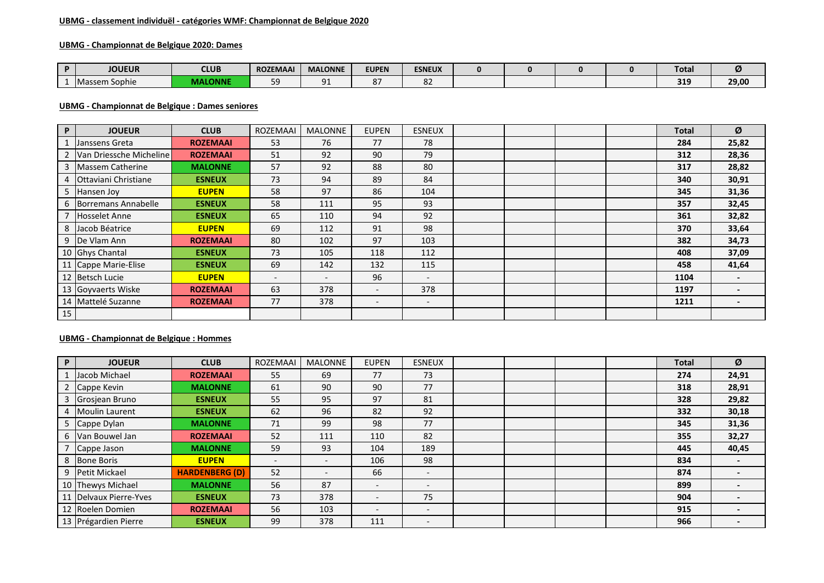#### **UBMG - classement individuël - catégories WMF: Championnat de Belgique 2020**

## **UBMG - Championnat de Belgique 2020: Dames**

| <b>JOUEUR</b>        | <b>CLUB</b>  | <b>ROZEMAAI</b> | <b>MALONNE</b>            | <b>EUPEN</b> | <b>ESNEUX</b> |  |  | <b>Total</b> | 74    |
|----------------------|--------------|-----------------|---------------------------|--------------|---------------|--|--|--------------|-------|
| <b>Massem Sophie</b> | MAL<br>LONNE | 50<br>--        | $^{\circ}$<br><u>J + </u> | ິີ<br>o      | 04            |  |  | 319          | 29,00 |

#### **UBMG - Championnat de Belgique : Dames seniores**

| P. | <b>JOUEUR</b>             | <b>CLUB</b>     | <b>ROZEMAAI</b>          | <b>MALONNE</b>           | <b>EUPEN</b>             | <b>ESNEUX</b>            |  |  | <b>Total</b> | Ø     |
|----|---------------------------|-----------------|--------------------------|--------------------------|--------------------------|--------------------------|--|--|--------------|-------|
|    | Janssens Greta            | <b>ROZEMAAI</b> | 53                       | 76                       | 77                       | 78                       |  |  | 284          | 25,82 |
|    | 2 Van Driessche Micheline | <b>ROZEMAAI</b> | 51                       | 92                       | 90                       | 79                       |  |  | 312          | 28,36 |
|    | 3 Massem Catherine        | <b>MALONNE</b>  | 57                       | 92                       | 88                       | 80                       |  |  | 317          | 28,82 |
| 4  | Ottaviani Christiane      | <b>ESNEUX</b>   | 73                       | 94                       | 89                       | 84                       |  |  | 340          | 30,91 |
|    | 5 Hansen Joy              | <b>EUPEN</b>    | 58                       | 97                       | 86                       | 104                      |  |  | 345          | 31,36 |
|    | 6 Borremans Annabelle     | <b>ESNEUX</b>   | 58                       | 111                      | 95                       | 93                       |  |  | 357          | 32,45 |
|    | <b>Hosselet Anne</b>      | <b>ESNEUX</b>   | 65                       | 110                      | 94                       | 92                       |  |  | 361          | 32,82 |
|    | 8 Jacob Béatrice          | <b>EUPEN</b>    | 69                       | 112                      | 91                       | 98                       |  |  | 370          | 33,64 |
|    | 9 De Vlam Ann             | <b>ROZEMAAI</b> | 80                       | 102                      | 97                       | 103                      |  |  | 382          | 34,73 |
|    | 10 Ghys Chantal           | <b>ESNEUX</b>   | 73                       | 105                      | 118                      | 112                      |  |  | 408          | 37,09 |
|    | 11 Cappe Marie-Elise      | <b>ESNEUX</b>   | 69                       | 142                      | 132                      | 115                      |  |  | 458          | 41,64 |
|    | 12 Betsch Lucie           | <b>EUPEN</b>    | $\overline{\phantom{a}}$ | $\overline{\phantom{0}}$ | 96                       | $\overline{\phantom{a}}$ |  |  | 1104         |       |
|    | 13 Goyvaerts Wiske        | <b>ROZEMAAI</b> | 63                       | 378                      | $\overline{\phantom{a}}$ | 378                      |  |  | 1197         |       |
|    | 14 Mattelé Suzanne        | <b>ROZEMAAI</b> | 77                       | 378                      | $\overline{\phantom{a}}$ | $\overline{\phantom{a}}$ |  |  | 1211         |       |
| 15 |                           |                 |                          |                          |                          |                          |  |  |              |       |

## **UBMG - Championnat de Belgique : Hommes**

| P  | <b>JOUEUR</b>        | <b>CLUB</b>           | <b>ROZEMAAI</b>          | <b>MALONNE</b>           | <b>EUPEN</b>             | <b>ESNEUX</b>            |  |  | <b>Total</b> | Ø     |
|----|----------------------|-----------------------|--------------------------|--------------------------|--------------------------|--------------------------|--|--|--------------|-------|
|    | Jacob Michael        | <b>ROZEMAAI</b>       | 55                       | 69                       | 77                       | 73                       |  |  | 274          | 24,91 |
|    | Cappe Kevin          | <b>MALONNE</b>        | 61                       | 90                       | 90                       | 77                       |  |  | 318          | 28,91 |
|    | Grosjean Bruno       | <b>ESNEUX</b>         | 55                       | 95                       | 97                       | 81                       |  |  | 328          | 29,82 |
| 4  | Moulin Laurent       | <b>ESNEUX</b>         | 62                       | 96                       | 82                       | 92                       |  |  | 332          | 30,18 |
|    | Cappe Dylan          | <b>MALONNE</b>        | 71                       | 99                       | 98                       | 77                       |  |  | 345          | 31,36 |
| 6  | Van Bouwel Jan       | <b>ROZEMAAI</b>       | 52                       | 111                      | 110                      | 82                       |  |  | 355          | 32,27 |
|    | Cappe Jason          | <b>MALONNE</b>        | 59                       | 93                       | 104                      | 189                      |  |  | 445          | 40,45 |
| 8  | <b>Bone Boris</b>    | <b>EUPEN</b>          | $\overline{\phantom{a}}$ | $\overline{\phantom{a}}$ | 106                      | 98                       |  |  | 834          |       |
| 9  | <b>Petit Mickael</b> | <b>HARDENBERG (D)</b> | 52                       | $\overline{\phantom{0}}$ | 66                       | $\overline{\phantom{0}}$ |  |  | 874          |       |
|    | 10 Thewys Michael    | <b>MALONNE</b>        | 56                       | 87                       | $\overline{\phantom{0}}$ | $\overline{\phantom{0}}$ |  |  | 899          |       |
| 11 | Delvaux Pierre-Yves  | <b>ESNEUX</b>         | 73                       | 378                      | $\overline{\phantom{0}}$ | 75                       |  |  | 904          |       |
|    | 12 Roelen Domien     | <b>ROZEMAAI</b>       | 56                       | 103                      | $\overline{\phantom{0}}$ | $\overline{\phantom{a}}$ |  |  | 915          |       |
|    | 13 Prégardien Pierre | <b>ESNEUX</b>         | 99                       | 378                      | 111                      | $\overline{\phantom{0}}$ |  |  | 966          |       |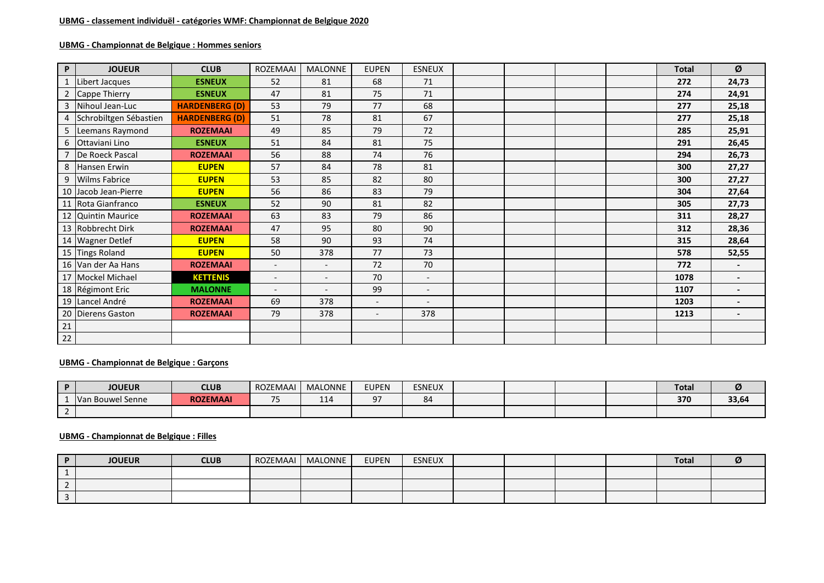## **UBMG - Championnat de Belgique : Hommes seniors**

| $\mathsf P$    | <b>JOUEUR</b>          | <b>CLUB</b>           | ROZEMAAI                 | <b>MALONNE</b>           | <b>EUPEN</b>             | <b>ESNEUX</b>            |  |  | <b>Total</b> | Ø                        |
|----------------|------------------------|-----------------------|--------------------------|--------------------------|--------------------------|--------------------------|--|--|--------------|--------------------------|
|                | Libert Jacques         | <b>ESNEUX</b>         | 52                       | 81                       | 68                       | 71                       |  |  | 272          | 24,73                    |
| $\overline{2}$ | Cappe Thierry          | <b>ESNEUX</b>         | 47                       | 81                       | 75                       | 71                       |  |  | 274          | 24,91                    |
| 3              | Nihoul Jean-Luc        | <b>HARDENBERG (D)</b> | 53                       | 79                       | 77                       | 68                       |  |  | 277          | 25,18                    |
| 4              | Schrobiltgen Sébastien | <b>HARDENBERG (D)</b> | 51                       | 78                       | 81                       | 67                       |  |  | 277          | 25,18                    |
|                | 5 Leemans Raymond      | <b>ROZEMAAI</b>       | 49                       | 85                       | 79                       | 72                       |  |  | 285          | 25,91                    |
|                | 6 Ottaviani Lino       | <b>ESNEUX</b>         | 51                       | 84                       | 81                       | 75                       |  |  | 291          | 26,45                    |
| $\overline{7}$ | De Roeck Pascal        | <b>ROZEMAAI</b>       | 56                       | 88                       | 74                       | 76                       |  |  | 294          | 26,73                    |
|                | 8 Hansen Erwin         | <b>EUPEN</b>          | 57                       | 84                       | 78                       | 81                       |  |  | 300          | 27,27                    |
| 9              | <b>Wilms Fabrice</b>   | <b>EUPEN</b>          | 53                       | 85                       | 82                       | 80                       |  |  | 300          | 27,27                    |
|                | 10 Jacob Jean-Pierre   | <b>EUPEN</b>          | 56                       | 86                       | 83                       | 79                       |  |  | 304          | 27,64                    |
|                | 11 Rota Gianfranco     | <b>ESNEUX</b>         | 52                       | 90                       | 81                       | 82                       |  |  | 305          | 27,73                    |
|                | 12 Quintin Maurice     | <b>ROZEMAAI</b>       | 63                       | 83                       | 79                       | 86                       |  |  | 311          | 28,27                    |
|                | 13 Robbrecht Dirk      | <b>ROZEMAAI</b>       | 47                       | 95                       | 80                       | 90                       |  |  | 312          | 28,36                    |
|                | 14 Wagner Detlef       | <b>EUPEN</b>          | 58                       | 90                       | 93                       | 74                       |  |  | 315          | 28,64                    |
|                | 15 Tings Roland        | <b>EUPEN</b>          | 50                       | 378                      | 77                       | 73                       |  |  | 578          | 52,55                    |
|                | 16 Van der Aa Hans     | <b>ROZEMAAI</b>       | $\overline{\phantom{0}}$ | $\overline{\phantom{a}}$ | 72                       | 70                       |  |  | 772          | $\overline{\phantom{a}}$ |
|                | 17 Mockel Michael      | <b>KETTENIS</b>       | $\overline{\phantom{a}}$ | $\overline{\phantom{a}}$ | 70                       | $\overline{\phantom{a}}$ |  |  | 1078         | $\blacksquare$           |
|                | 18 Régimont Eric       | <b>MALONNE</b>        | $\overline{\phantom{a}}$ |                          | 99                       | $\overline{\phantom{a}}$ |  |  | 1107         |                          |
|                | 19 Lancel André        | <b>ROZEMAAI</b>       | 69                       | 378                      | $\overline{\phantom{a}}$ | $\overline{\phantom{a}}$ |  |  | 1203         | $\overline{\phantom{0}}$ |
|                | 20 Dierens Gaston      | <b>ROZEMAAI</b>       | 79                       | 378                      | $\overline{\phantom{a}}$ | 378                      |  |  | 1213         | $\blacksquare$           |
| $\frac{21}{2}$ |                        |                       |                          |                          |                          |                          |  |  |              |                          |
| 22             |                        |                       |                          |                          |                          |                          |  |  |              |                          |

## **UBMG - Championnat de Belgique : Garçons**

| <b>D</b> | <b>JOUEUR</b>    | <b>CLUB</b>     | ROZEMAAI | <b>MALONNE</b> | <b>EUPEN</b> | <b>ESNEUX</b> |  |  | <b>Total</b> | ∽     |
|----------|------------------|-----------------|----------|----------------|--------------|---------------|--|--|--------------|-------|
|          | Van Bouwel Senne | <b>ROZEMAAI</b> | $-$      | 114            | ∩¬           | ౦             |  |  | 370          | 33,64 |
|          |                  |                 |          |                |              |               |  |  |              |       |

## **UBMG - Championnat de Belgique : Filles**

| <b>JOUEUR</b> | <b>CLUB</b> | ROZEMAAI | MALONNE | <b>EUPEN</b> | <b>ESNEUX</b> |  |  | <b>Total</b> | Ø |
|---------------|-------------|----------|---------|--------------|---------------|--|--|--------------|---|
|               |             |          |         |              |               |  |  |              |   |
|               |             |          |         |              |               |  |  |              |   |
|               |             |          |         |              |               |  |  |              |   |